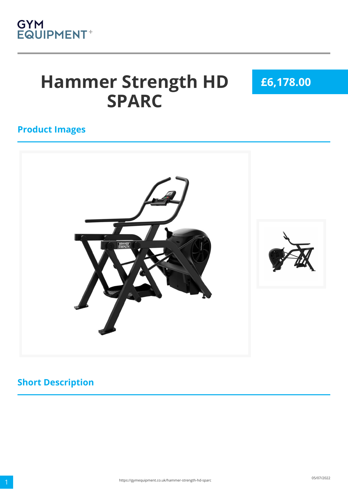

# **Hammer Strength HD SPARC**

**£6,178.00**

#### **Product Images**



#### **Short Description**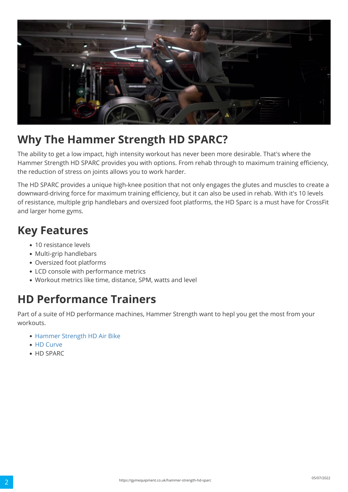

## **Why The Hammer Strength HD SPARC?**

The ability to get a low impact, high intensity workout has never been more desirable. That's where the Hammer Strength HD SPARC provides you with options. From rehab through to maximum training efficiency, the reduction of stress on joints allows you to work harder.

The HD SPARC provides a unique high-knee position that not only engages the glutes and muscles to create a downward-driving force for maximum training efficiency, but it can also be used in rehab. With it's 10 levels of resistance, multiple grip handlebars and oversized foot platforms, the HD Sparc is a must have for CrossFit and larger home gyms.

### **Key Features**

- 10 resistance levels
- Multi-grip handlebars
- Oversized foot platforms
- LCD console with performance metrics
- Workout metrics like time, distance, SPM, watts and level

## **HD Performance Trainers**

Part of a suite of HD performance machines, Hammer Strength want to hepl you get the most from your workouts.

- [Hammer Strength HD Air Bike](https://gymequipment.co.uk/hammer-strength-hd-air-bike)
- [HD Curve](https://gymequipment.co.uk/hammer-strength-hd-curved-treadmill)
- HD SPARC